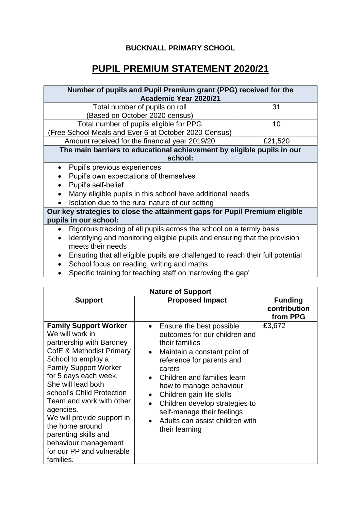## **BUCKNALL PRIMARY SCHOOL**

## **PUPIL PREMIUM STATEMENT 2020/21**

| Number of pupils and Pupil Premium grant (PPG) received for the<br>Academic Year 2020/21 |         |  |  |
|------------------------------------------------------------------------------------------|---------|--|--|
| Total number of pupils on roll                                                           | 31      |  |  |
| Based on October 2020 census)                                                            |         |  |  |
| Total number of pupils eligible for PPG                                                  | 10      |  |  |
| (Free School Meals and Ever 6 at October 2020 Census)                                    |         |  |  |
| Amount received for the financial year 2019/20                                           | £21,520 |  |  |
| The main barriers to educational achievement by eligible pupils in our                   |         |  |  |
| school:                                                                                  |         |  |  |
| Pupil's previous experiences<br>$\bullet$                                                |         |  |  |
| Pupil's own expectations of themselves                                                   |         |  |  |
| Pupil's self-belief                                                                      |         |  |  |
| Many eligible pupils in this school have additional needs                                |         |  |  |
| Isolation due to the rural nature of our setting                                         |         |  |  |
| Our key strategies to close the attainment gaps for Pupil Premium eligible               |         |  |  |
| pupils in our school:                                                                    |         |  |  |
| Rigorous tracking of all pupils across the school on a termly basis                      |         |  |  |
| Identifying and monitoring eligible pupils and ensuring that the provision               |         |  |  |
| meets their needs                                                                        |         |  |  |
| Ensuring that all eligible pupils are challenged to reach their full potential           |         |  |  |

- School focus on reading, writing and maths
- Specific training for teaching staff on 'narrowing the gap'

| <b>Nature of Support</b>                                                                                                                                                                                                                                                                                                                                                                                                      |                                                                                                                                                                                                                                                                                                                                                                |                                            |  |
|-------------------------------------------------------------------------------------------------------------------------------------------------------------------------------------------------------------------------------------------------------------------------------------------------------------------------------------------------------------------------------------------------------------------------------|----------------------------------------------------------------------------------------------------------------------------------------------------------------------------------------------------------------------------------------------------------------------------------------------------------------------------------------------------------------|--------------------------------------------|--|
| <b>Support</b>                                                                                                                                                                                                                                                                                                                                                                                                                | <b>Proposed Impact</b>                                                                                                                                                                                                                                                                                                                                         | <b>Funding</b><br>contribution<br>from PPG |  |
| <b>Family Support Worker</b><br>We will work in<br>partnership with Bardney<br>CofE & Methodist Primary<br>School to employ a<br><b>Family Support Worker</b><br>for 5 days each week.<br>She will lead both<br>school's Child Protection<br>Team and work with other<br>agencies.<br>We will provide support in<br>the home around<br>parenting skills and<br>behaviour management<br>for our PP and vulnerable<br>families. | Ensure the best possible<br>outcomes for our children and<br>their families<br>Maintain a constant point of<br>reference for parents and<br>carers<br>Children and families learn<br>how to manage behaviour<br>Children gain life skills<br>Children develop strategies to<br>self-manage their feelings<br>Adults can assist children with<br>their learning | £3,672                                     |  |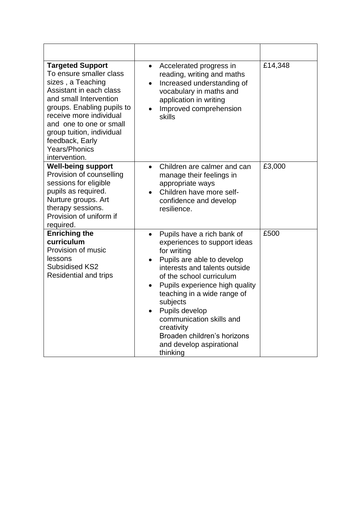| <b>Targeted Support</b><br>To ensure smaller class<br>sizes, a Teaching<br>Assistant in each class<br>and small Intervention<br>groups. Enabling pupils to<br>receive more individual<br>and one to one or small<br>group tuition, individual<br>feedback, Early<br><b>Years/Phonics</b><br>intervention. | Accelerated progress in<br>$\bullet$<br>reading, writing and maths<br>Increased understanding of<br>$\bullet$<br>vocabulary in maths and<br>application in writing<br>Improved comprehension<br>skills                                                                                                                                                                                                                      | £14,348 |
|-----------------------------------------------------------------------------------------------------------------------------------------------------------------------------------------------------------------------------------------------------------------------------------------------------------|-----------------------------------------------------------------------------------------------------------------------------------------------------------------------------------------------------------------------------------------------------------------------------------------------------------------------------------------------------------------------------------------------------------------------------|---------|
| <b>Well-being support</b><br>Provision of counselling<br>sessions for eligible<br>pupils as required.<br>Nurture groups. Art<br>therapy sessions.<br>Provision of uniform if<br>required.                                                                                                                 | Children are calmer and can<br>$\bullet$<br>manage their feelings in<br>appropriate ways<br>Children have more self-<br>confidence and develop<br>resilience.                                                                                                                                                                                                                                                               | £3,000  |
| <b>Enriching the</b><br>curriculum<br>Provision of music<br>lessons<br>Subsidised KS2<br><b>Residential and trips</b>                                                                                                                                                                                     | Pupils have a rich bank of<br>$\bullet$<br>experiences to support ideas<br>for writing<br>Pupils are able to develop<br>$\bullet$<br>interests and talents outside<br>of the school curriculum<br>Pupils experience high quality<br>$\bullet$<br>teaching in a wide range of<br>subjects<br>Pupils develop<br>communication skills and<br>creativity<br>Broaden children's horizons<br>and develop aspirational<br>thinking | £500    |